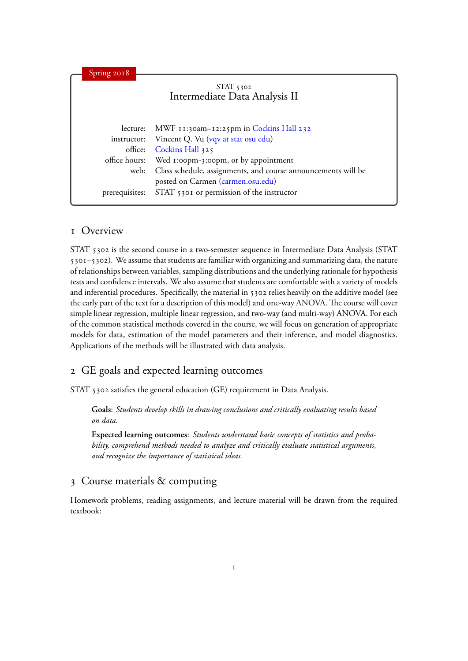| Spring 2018   |                                                                    |
|---------------|--------------------------------------------------------------------|
|               | $STAT$ 5302<br>Intermediate Data Analysis II                       |
| lecture:      | MWF 11:30am-12:25pm in Cockins Hall 232                            |
| instructor:   | Vincent Q. Vu (vqv at stat osu edu)                                |
| office:       | Cockins Hall 325                                                   |
| office hours: | Wed 1:00pm-3:00pm, or by appointment                               |
|               | web: Class schedule, assignments, and course announcements will be |
|               | posted on Carmen (carmen.osu.edu)                                  |
|               | prerequisites: STAT 5301 or permission of the instructor           |

#### 1 Overview

STAT 5302 is the second course in a two-semester sequence in Intermediate Data Analysis (STAT 5301–5302). We assume that students are familiar with organizing and summarizing data, the nature of relationships between variables, sampling distributions and the underlying rationale for hypothesis tests and confidence intervals. We also assume that students are comfortable with a variety of models and inferential procedures. Specifically, the material in 5302 relies heavily on the additive model (see the early part of the text for a description of this model) and one-way ANOVA. The course will cover simple linear regression, multiple linear regression, and two-way (and multi-way) ANOVA. For each of the common statistical methods covered in the course, we will focus on generation of appropriate models for data, estimation of the model parameters and their inference, and model diagnostics. Applications of the methods will be illustrated with data analysis.

## 2 GE goals and expected learning outcomes

STAT 5302 satisfies the general education (GE) requirement in Data Analysis.

**Goals**: *Students develop skills in drawing conclusions and critically evaluating results based on data.*

**Expected learning outcomes**: *Students understand basic concepts of statistics and probability, comprehend methods needed to analyze and critically evaluate statistical arguments, and recognize the importance of statistical ideas.*

# 3 Course materials & computing

Homework problems, reading assignments, and lecture material will be drawn from the required textbook: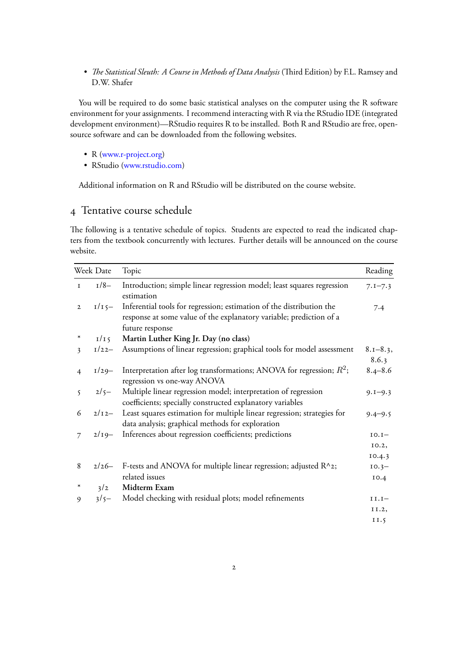• *The Statistical Sleuth: A Course in Methods of Data Analysis* (Third Edition) by F.L. Ramsey and D.W. Shafer

You will be required to do some basic statistical analyses on the computer using the R software environment for your assignments. I recommend interacting with R via the RStudio IDE (integrated development environment)—RStudio requires R to be installed. Both R and RStudio are free, opensource software and can be downloaded from the following websites.

- •R ([www.r-project.org](http://www.r-project.org))
- RStudio [\(www.rstudio.com\)](http://www.rstudio.com)

Additional information on R and RStudio will be distributed on the course website.

## 4 Tentative course schedule

The following is a tentative schedule of topics. Students are expected to read the indicated chapters from the textbook concurrently with lectures. Further details will be announced on the course website.

| Week Date      |          | Topic                                                                                                                                                          |                       |
|----------------|----------|----------------------------------------------------------------------------------------------------------------------------------------------------------------|-----------------------|
| $\mathbf I$    | $1/8-$   | Introduction; simple linear regression model; least squares regression<br>estimation                                                                           | $7.1 - 7.3$           |
| $\mathbf{2}$   | $I/I$ 5- | Inferential tools for regression; estimation of the distribution the<br>response at some value of the explanatory variable; prediction of a<br>future response | 7.4                   |
|                | I/I      | Martin Luther King Jr. Day (no class)                                                                                                                          |                       |
| 3              | $1/22-$  | Assumptions of linear regression; graphical tools for model assessment                                                                                         | $8.1 - 8.3,$<br>8.6.3 |
| $\overline{4}$ | $1/29-$  | Interpretation after log transformations; ANOVA for regression; $R^2$ ;<br>regression vs one-way ANOVA                                                         | $8.4 - 8.6$           |
| $\mathcal{L}$  | $2/5-$   | Multiple linear regression model; interpretation of regression<br>coefficients; specially constructed explanatory variables                                    | $9.1 - 9.3$           |
| 6              | $2/12-$  | Least squares estimation for multiple linear regression; strategies for<br>data analysis; graphical methods for exploration                                    | $9.4 - 9.5$           |
| 7              | $2/19-$  | Inferences about regression coefficients; predictions                                                                                                          | $IO.I-$               |
|                |          |                                                                                                                                                                | 10.2,                 |
|                |          |                                                                                                                                                                | 10.4.3                |
| 8              | $2/26-$  | F-tests and ANOVA for multiple linear regression; adjusted $R^2$ ;                                                                                             | $10.3 -$              |
|                |          | related issues                                                                                                                                                 | 10.4                  |
| $\ast$         | 3/2      | Midterm Exam                                                                                                                                                   |                       |
| 9              | $3/5-$   | Model checking with residual plots; model refinements                                                                                                          | $I I. I-$             |
|                |          |                                                                                                                                                                | II.2,                 |
|                |          |                                                                                                                                                                | II.5                  |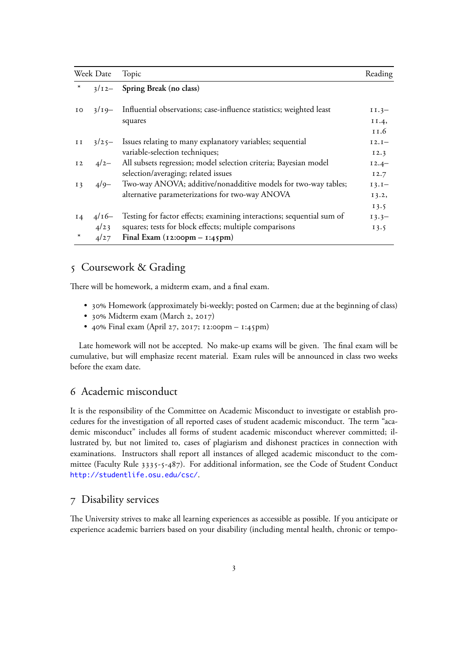| Week Date      |         | Topic                                                                 | Reading  |
|----------------|---------|-----------------------------------------------------------------------|----------|
| $\ast$         | $3/12-$ | Spring Break (no class)                                               |          |
| IO.            | $3/19-$ | Influential observations; case-influence statistics; weighted least   | $II.3-$  |
|                |         | squares                                                               | II.4,    |
|                |         |                                                                       | 11.6     |
| II             | $3/25-$ | Issues relating to many explanatory variables; sequential             | $I2.I-$  |
|                |         | variable-selection techniques;                                        | 12.3     |
| I <sub>2</sub> | $4/2-$  | All subsets regression; model selection criteria; Bayesian model      | $12.4 -$ |
|                |         | selection/averaging; related issues                                   | 12.7     |
| I <sub>3</sub> | $4/9-$  | Two-way ANOVA; additive/nonadditive models for two-way tables;        | $I3.I-$  |
|                |         | alternative parameterizations for two-way ANOVA                       | 13.2,    |
|                |         |                                                                       | 13.5     |
| $I_4$          | $4/16-$ | Testing for factor effects; examining interactions; sequential sum of | $13.3 -$ |
|                | 4/23    | squares; tests for block effects; multiple comparisons                | 13.5     |
| $\ast$         | 4/27    | Final Exam $(i2:oopm - i:45pm)$                                       |          |

#### 5 Coursework & Grading

There will be homework, a midterm exam, and a final exam.

- 30% Homework (approximately bi-weekly; posted on Carmen; due at the beginning of class)
- 30% Midterm exam (March 2, 2017)
- 40% Final exam (April 27, 2017; 12:00pm 1:45pm)

Late homework will not be accepted. No make-up exams will be given. The final exam will be cumulative, but will emphasize recent material. Exam rules will be announced in class two weeks before the exam date.

## 6 Academic misconduct

It is the responsibility of the Committee on Academic Misconduct to investigate or establish procedures for the investigation of all reported cases of student academic misconduct. The term "academic misconduct" includes all forms of student academic misconduct wherever committed; illustrated by, but not limited to, cases of plagiarism and dishonest practices in connection with examinations. Instructors shall report all instances of alleged academic misconduct to the committee (Faculty Rule 3335-5-487). For additional information, see the Code of Student Conduct <http://studentlife.osu.edu/csc/>.

#### 7 Disability services

The University strives to make all learning experiences as accessible as possible. If you anticipate or experience academic barriers based on your disability (including mental health, chronic or tempo